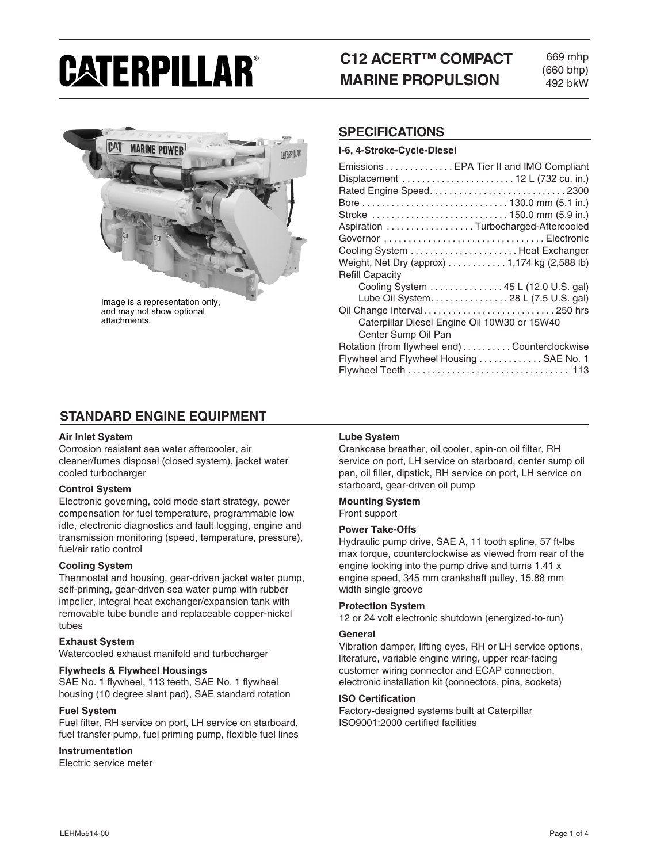# CATERPILLAR®

# **C12 ACERT™ COMPACT MARINE PROPULSION**

669 mhp (660 bhp) 492 bkW



and may not show optional attachments.

## **SPECIFICATIONS**

## **I-6, 4-Stroke-Cycle-Diesel**

| Emissions EPA Tier II and IMO Compliant       |
|-----------------------------------------------|
| Displacement  12 L (732 cu. in.)              |
|                                               |
|                                               |
| Stroke  150.0 mm (5.9 in.)                    |
| Aspiration Turbocharged-Aftercooled           |
| Governor Electronic                           |
| Cooling System  Heat Exchanger                |
| Weight, Net Dry (approx) 1,174 kg (2,588 lb)  |
| <b>Refill Capacity</b>                        |
| Cooling System 45 L (12.0 U.S. gal)           |
| Lube Oil System28 L (7.5 U.S. gal)            |
|                                               |
| Caterpillar Diesel Engine Oil 10W30 or 15W40  |
| Center Sump Oil Pan                           |
| Rotation (from flywheel end) Counterclockwise |
| Flywheel and Flywheel Housing  SAE No. 1      |
|                                               |

# **STANDARD ENGINE EQUIPMENT**

#### **Air Inlet System**

Corrosion resistant sea water aftercooler, air cleaner/fumes disposal (closed system), jacket water cooled turbocharger

## **Control System**

Electronic governing, cold mode start strategy, power compensation for fuel temperature, programmable low idle, electronic diagnostics and fault logging, engine and transmission monitoring (speed, temperature, pressure), fuel/air ratio control

## **Cooling System**

Thermostat and housing, gear-driven jacket water pump, self-priming, gear-driven sea water pump with rubber impeller, integral heat exchanger/expansion tank with removable tube bundle and replaceable copper-nickel tubes

#### **Exhaust System**

Watercooled exhaust manifold and turbocharger

#### **Flywheels & Flywheel Housings**

SAE No. 1 flywheel, 113 teeth, SAE No. 1 flywheel housing (10 degree slant pad), SAE standard rotation

#### **Fuel System**

Fuel filter, RH service on port, LH service on starboard, fuel transfer pump, fuel priming pump, flexible fuel lines

#### **Instrumentation**

Electric service meter

## **Lube System**

Crankcase breather, oil cooler, spin-on oil filter, RH service on port, LH service on starboard, center sump oil pan, oil filler, dipstick, RH service on port, LH service on starboard, gear-driven oil pump

#### **Mounting System** Front support

#### **Power Take-Offs**

Hydraulic pump drive, SAE A, 11 tooth spline, 57 ft-lbs max torque, counterclockwise as viewed from rear of the engine looking into the pump drive and turns 1.41 x engine speed, 345 mm crankshaft pulley, 15.88 mm width single groove

#### **Protection System**

12 or 24 volt electronic shutdown (energized-to-run)

#### **General**

Vibration damper, lifting eyes, RH or LH service options, literature, variable engine wiring, upper rear-facing customer wiring connector and ECAP connection, electronic installation kit (connectors, pins, sockets)

#### **ISO Certification**

Factory-designed systems built at Caterpillar ISO9001:2000 certified facilities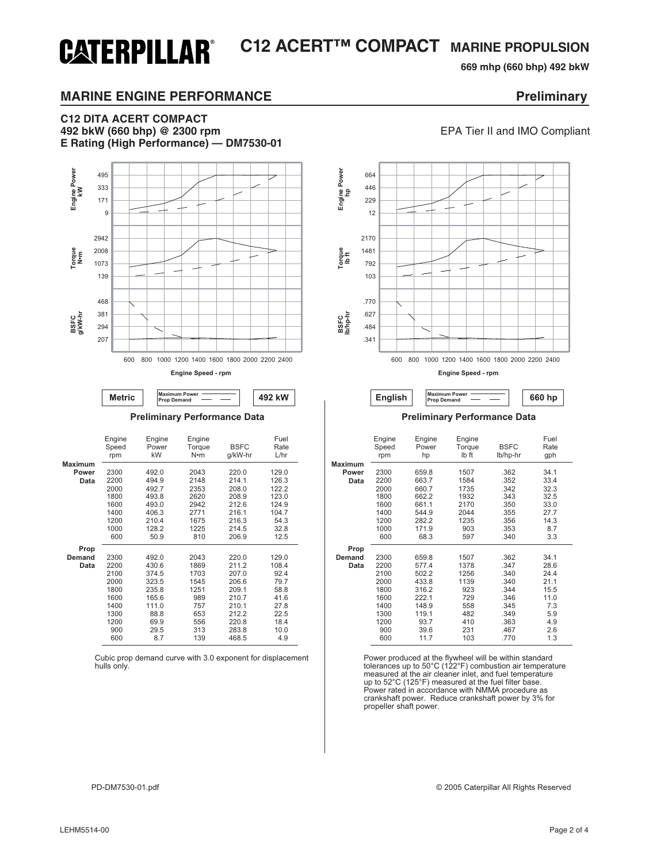# **C12 ACERT™ COMPACT MARINE PROPULSION CATERPILLAR®**

**669 mhp (660 bhp) 492 bkW** 

# **MARINE ENGINE PERFORMANCE EXAMPLE 2008 Preliminary**

## **C12 DITA ACERT COMPACT 492 bkW (660 bhp) @ 2300 rpm** EPA Tier II and IMO Compliant **E Rating (High Performance) — DM7530-01**



**Engine Speed - rpm**

**Metric Maximum Power English Prop Demand English Prop Demand** 

|                | Engine<br>Speed<br>rpm | Engine<br>Power<br>kW | Engine<br>Torque<br>N•m | <b>BSFC</b><br>g/kW-hr | Fuel<br>Rate<br>L/hr |  |
|----------------|------------------------|-----------------------|-------------------------|------------------------|----------------------|--|
| <b>Maximum</b> |                        |                       |                         |                        |                      |  |
| Power          | 2300                   | 492.0                 | 2043                    | 220.0                  | 129.0                |  |
| Data           | 2200                   | 494.9                 | 2148                    | 214.1                  | 126.3                |  |
|                | 2000                   | 492.7                 | 2353                    | 208.0                  | 122.2                |  |
|                | 1800                   | 493.8                 | 2620                    | 208.9                  | 123.0                |  |
|                | 1600                   | 493.0                 | 2942                    | 212.6                  | 124.9                |  |
|                | 1400                   | 406.3                 | 2771                    | 216.1                  | 104.7                |  |
|                | 1200                   | 210.4                 | 1675                    | 216.3                  | 54.3                 |  |
|                | 1000                   | 128.2                 | 1225                    | 214.5                  | 32.8                 |  |
|                | 600                    | 50.9                  | 810                     | 206.9                  | 12.5                 |  |
| Prop           |                        |                       |                         |                        |                      |  |
| Demand         | 2300                   | 492.0                 | 2043                    | 220.0                  | 129.0                |  |
| Data           | 2200                   | 430.6                 | 1869                    | 211.2                  | 108.4                |  |
|                | 2100                   | 374.5                 | 1703                    | 207.0                  | 92.4                 |  |
|                | 2000                   | 323.5                 | 1545                    | 206.6                  | 79.7                 |  |
|                | 1800                   | 235.8                 | 1251                    | 209.1                  | 58.8                 |  |
|                | 1600                   | 165.6                 | 989                     | 210.7                  | 41.6                 |  |
|                | 1400                   | 111.0                 | 757                     | 210.1                  | 27.8                 |  |
|                | 1300                   | 88.8                  | 653                     | 212.2                  | 22.5                 |  |
|                | 1200                   | 69.9                  | 556                     | 220.8                  | 18.4                 |  |
|                | 900                    | 29.5                  | 313                     | 283.8                  | 10.0                 |  |
|                | 600                    | 8.7                   | 139                     | 468.5                  | 4.9                  |  |

Cubic prop demand curve with 3.0 exponent for displacement hulls only.



#### **Preliminary Performance Data Preliminary Performance Data**

| Engine<br>Speed<br>rpm | Engine<br>Power<br>kW | Engine<br>Torque<br>N•m | <b>BSFC</b><br>g/kW-hr | Fuel<br>Rate<br>L/hr |                | Engine<br>Speed<br>rpm | Engine<br>Power<br>hp | Engine<br>Torque<br>lb ft | <b>BSFC</b><br>lb/hp-hr | Fuel<br>Rate<br>gph |
|------------------------|-----------------------|-------------------------|------------------------|----------------------|----------------|------------------------|-----------------------|---------------------------|-------------------------|---------------------|
|                        |                       |                         |                        |                      | <b>Maximum</b> |                        |                       |                           |                         |                     |
| 2300                   | 492.0                 | 2043                    | 220.0                  | 129.0                | Power          | 2300                   | 659.8                 | 1507                      | .362                    | 34.1                |
| 2200                   | 494.9                 | 2148                    | 214.1                  | 126.3                | Data           | 2200                   | 663.7                 | 1584                      | .352                    | 33.4                |
| 2000                   | 492.7                 | 2353                    | 208.0                  | 122.2                |                | 2000                   | 660.7                 | 1735                      | .342                    | 32.3                |
| 1800                   | 493.8                 | 2620                    | 208.9                  | 123.0                |                | 1800                   | 662.2                 | 1932                      | .343                    | 32.5                |
| 1600                   | 493.0                 | 2942                    | 212.6                  | 124.9                |                | 1600                   | 661.1                 | 2170                      | .350                    | 33.0                |
| 1400                   | 406.3                 | 2771                    | 216.1                  | 104.7                |                | 1400                   | 544.9                 | 2044                      | .355                    | 27.7                |
| 1200                   | 210.4                 | 1675                    | 216.3                  | 54.3                 |                | 1200                   | 282.2                 | 1235                      | .356                    | 14.3                |
| 1000                   | 128.2                 | 1225                    | 214.5                  | 32.8                 |                | 1000                   | 171.9                 | 903                       | .353                    | 8.7                 |
| 600                    | 50.9                  | 810                     | 206.9                  | 12.5                 |                | 600                    | 68.3                  | 597                       | .340                    | 3.3                 |
|                        |                       |                         |                        |                      | Prop           |                        |                       |                           |                         |                     |
| 2300                   | 492.0                 | 2043                    | 220.0                  | 129.0                | Demand         | 2300                   | 659.8                 | 1507                      | .362                    | 34.1                |
| 2200                   | 430.6                 | 1869                    | 211.2                  | 108.4                | Data           | 2200                   | 577.4                 | 1378                      | .347                    | 28.6                |
| 2100                   | 374.5                 | 1703                    | 207.0                  | 92.4                 |                | 2100                   | 502.2                 | 1256                      | .340                    | 24.4                |
| 2000                   | 323.5                 | 1545                    | 206.6                  | 79.7                 |                | 2000                   | 433.8                 | 1139                      | .340                    | 21.1                |
| 1800                   | 235.8                 | 1251                    | 209.1                  | 58.8                 |                | 1800                   | 316.2                 | 923                       | .344                    | 15.5                |
| 1600                   | 165.6                 | 989                     | 210.7                  | 41.6                 |                | 1600                   | 222.1                 | 729                       | .346                    | 11.0                |
| 1400                   | 111.0                 | 757                     | 210.1                  | 27.8                 |                | 1400                   | 148.9                 | 558                       | .345                    | 7.3                 |
| 1300                   | 88.8                  | 653                     | 212.2                  | 22.5                 |                | 1300                   | 119.1                 | 482                       | .349                    | 5.9                 |
| 1200                   | 69.9                  | 556                     | 220.8                  | 18.4                 |                | 1200                   | 93.7                  | 410                       | .363                    | 4.9                 |
| 900                    | 29.5                  | 313                     | 283.8                  | 10.0                 |                | 900                    | 39.6                  | 231                       | .467                    | 2.6                 |
| 600                    | 8.7                   | 139                     | 468.5                  | 4.9                  |                | 600                    | 11.7                  | 103                       | .770                    | 1.3                 |

Power produced at the flywheel will be within standard tolerances up to 50°C (122°F) combustion air temperature measured at the air cleaner inlet, and fuel temperature up to 52°C (125°F) measured at the fuel filter base. Power rated in accordance with NMMA procedure as crankshaft power. Reduce crankshaft power by 3% for propeller shaft power.

PD-DM7530-01.pdf © 2005 Caterpillar All Rights Reserved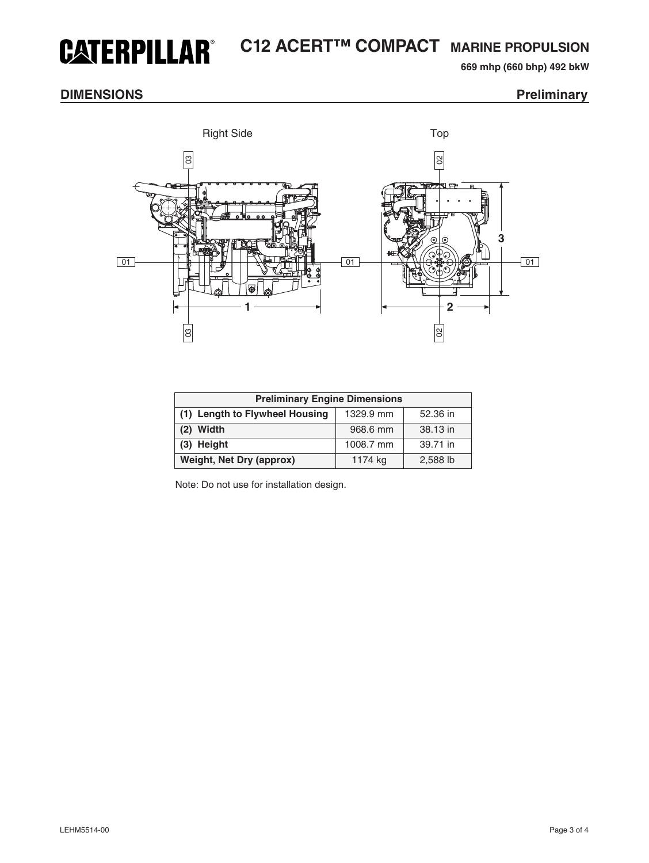# **C12 ACERT™ COMPACT MARINE PROPULSION CATERPILLAR®**

**669 mhp (660 bhp) 492 bkW** 

# **DIMENSIONS** Preliminary



| <b>Preliminary Engine Dimensions</b> |           |          |  |  |
|--------------------------------------|-----------|----------|--|--|
| (1) Length to Flywheel Housing       | 1329.9 mm | 52.36 in |  |  |
| $(2)$ Width                          | 968.6 mm  | 38.13 in |  |  |
| (3) Height                           | 1008.7 mm | 39.71 in |  |  |
| <b>Weight, Net Dry (approx)</b>      | 1174 kg   | 2,588 lb |  |  |

Note: Do not use for installation design.